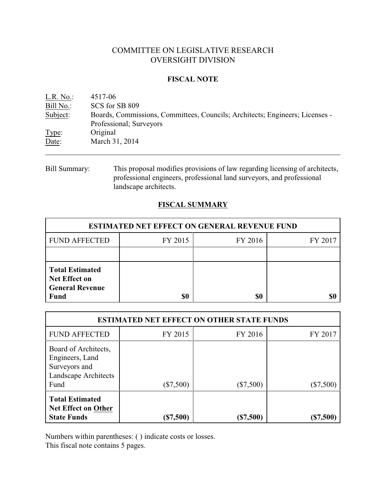# COMMITTEE ON LEGISLATIVE RESEARCH OVERSIGHT DIVISION

### **FISCAL NOTE**

| L.R. No.  | 4517-06                                                                      |
|-----------|------------------------------------------------------------------------------|
| Bill No.: | SCS for SB 809                                                               |
| Subject:  | Boards, Commissions, Committees, Councils; Architects; Engineers; Licenses - |
|           | Professional; Surveyors                                                      |
| Type:     | Original                                                                     |
| Date:     | March 31, 2014                                                               |
|           |                                                                              |

Bill Summary: This proposal modifies provisions of law regarding licensing of architects, professional engineers, professional land surveyors, and professional landscape architects.

## **FISCAL SUMMARY**

| <b>ESTIMATED NET EFFECT ON GENERAL REVENUE FUND</b>                                     |         |         |         |  |
|-----------------------------------------------------------------------------------------|---------|---------|---------|--|
| <b>FUND AFFECTED</b>                                                                    | FY 2015 | FY 2016 | FY 2017 |  |
|                                                                                         |         |         |         |  |
| <b>Total Estimated</b><br><b>Net Effect on</b><br><b>General Revenue</b><br><b>Fund</b> | \$0     | \$0     |         |  |

| <b>ESTIMATED NET EFFECT ON OTHER STATE FUNDS</b>                                         |             |             |           |  |
|------------------------------------------------------------------------------------------|-------------|-------------|-----------|--|
| <b>FUND AFFECTED</b>                                                                     | FY 2015     | FY 2016     | FY 2017   |  |
| Board of Architects,<br>Engineers, Land<br>Surveyors and<br>Landscape Architects<br>Fund | $(\$7,500)$ | $(\$7,500)$ | (\$7,500) |  |
| <b>Total Estimated</b><br><b>Net Effect on Other</b><br><b>State Funds</b>               | $(\$7,500)$ | (\$7,500)   | (\$7,500) |  |

Numbers within parentheses: ( ) indicate costs or losses.

This fiscal note contains 5 pages.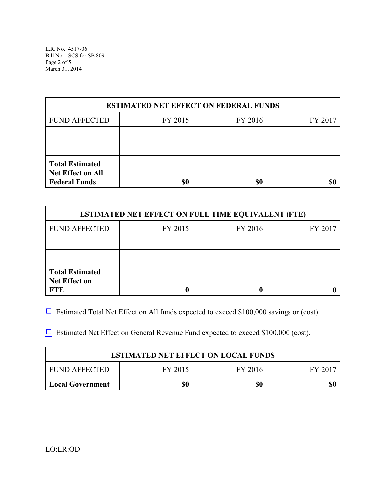L.R. No. 4517-06 Bill No. SCS for SB 809 Page 2 of 5 March 31, 2014

| <b>ESTIMATED NET EFFECT ON FEDERAL FUNDS</b>                               |         |         |         |  |
|----------------------------------------------------------------------------|---------|---------|---------|--|
| <b>FUND AFFECTED</b>                                                       | FY 2015 | FY 2016 | FY 2017 |  |
|                                                                            |         |         |         |  |
|                                                                            |         |         |         |  |
| <b>Total Estimated</b><br><b>Net Effect on All</b><br><b>Federal Funds</b> | \$0     | \$0     |         |  |

| <b>ESTIMATED NET EFFECT ON FULL TIME EQUIVALENT (FTE)</b>    |         |         |         |  |
|--------------------------------------------------------------|---------|---------|---------|--|
| <b>FUND AFFECTED</b>                                         | FY 2015 | FY 2016 | FY 2017 |  |
|                                                              |         |         |         |  |
|                                                              |         |         |         |  |
| <b>Total Estimated</b><br><b>Net Effect on</b><br><b>FTE</b> |         |         |         |  |

 $\Box$  Estimated Total Net Effect on All funds expected to exceed \$100,000 savings or (cost).

 $\Box$  Estimated Net Effect on General Revenue Fund expected to exceed \$100,000 (cost).

| <b>ESTIMATED NET EFFECT ON LOCAL FUNDS</b> |         |         |         |
|--------------------------------------------|---------|---------|---------|
| FUND AFFECTED                              | FY 2015 | FY 2016 | FY 2017 |
| <b>Local Government</b>                    | \$0     | \$0     |         |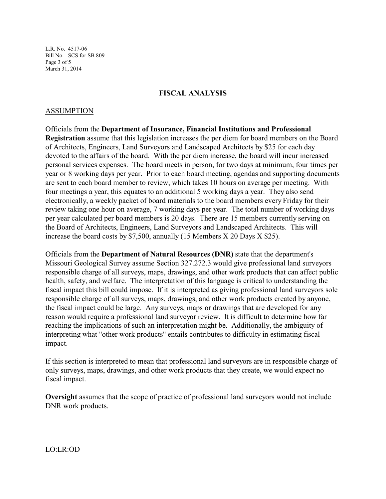L.R. No. 4517-06 Bill No. SCS for SB 809 Page 3 of 5 March 31, 2014

### **FISCAL ANALYSIS**

### ASSUMPTION

Officials from the **Department of Insurance, Financial Institutions and Professional Registration** assume that this legislation increases the per diem for board members on the Board of Architects, Engineers, Land Surveyors and Landscaped Architects by \$25 for each day devoted to the affairs of the board. With the per diem increase, the board will incur increased personal services expenses. The board meets in person, for two days at minimum, four times per year or 8 working days per year. Prior to each board meeting, agendas and supporting documents are sent to each board member to review, which takes 10 hours on average per meeting. With four meetings a year, this equates to an additional 5 working days a year. They also send electronically, a weekly packet of board materials to the board members every Friday for their review taking one hour on average, 7 working days per year. The total number of working days per year calculated per board members is 20 days. There are 15 members currently serving on the Board of Architects, Engineers, Land Surveyors and Landscaped Architects. This will increase the board costs by \$7,500, annually (15 Members X 20 Days X \$25).

Officials from the **Department of Natural Resources (DNR)** state that the department's Missouri Geological Survey assume Section 327.272.3 would give professional land surveyors responsible charge of all surveys, maps, drawings, and other work products that can affect public health, safety, and welfare. The interpretation of this language is critical to understanding the fiscal impact this bill could impose. If it is interpreted as giving professional land surveyors sole responsible charge of all surveys, maps, drawings, and other work products created by anyone, the fiscal impact could be large. Any surveys, maps or drawings that are developed for any reason would require a professional land surveyor review. It is difficult to determine how far reaching the implications of such an interpretation might be. Additionally, the ambiguity of interpreting what "other work products" entails contributes to difficulty in estimating fiscal impact.

If this section is interpreted to mean that professional land surveyors are in responsible charge of only surveys, maps, drawings, and other work products that they create, we would expect no fiscal impact.

**Oversight** assumes that the scope of practice of professional land surveyors would not include DNR work products.

LO:LR:OD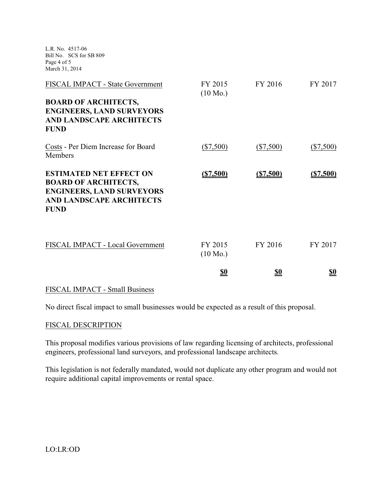L.R. No. 4517-06 Bill No. SCS for SB 809 Page 4 of 5 March 31, 2014

|                                                                                                                                                     | <u>\$0</u>                    | <u>\$0</u>  | <u>\$0</u>  |
|-----------------------------------------------------------------------------------------------------------------------------------------------------|-------------------------------|-------------|-------------|
| FISCAL IMPACT - Local Government                                                                                                                    | FY 2015<br>$(10 \text{ Mo.})$ | FY 2016     | FY 2017     |
| <b>ESTIMATED NET EFFECT ON</b><br><b>BOARD OF ARCHITECTS,</b><br><b>ENGINEERS, LAND SURVEYORS</b><br><b>AND LANDSCAPE ARCHITECTS</b><br><b>FUND</b> | (S7,500)                      | (S7,500)    | (S7,500)    |
| Costs - Per Diem Increase for Board<br>Members                                                                                                      | $(\$7,500)$                   | $(\$7,500)$ | $(\$7,500)$ |
| <b>BOARD OF ARCHITECTS,</b><br><b>ENGINEERS, LAND SURVEYORS</b><br><b>AND LANDSCAPE ARCHITECTS</b><br><b>FUND</b>                                   |                               |             |             |
| FISCAL IMPACT - State Government                                                                                                                    | FY 2015<br>$(10 \text{ Mo.})$ | FY 2016     | FY 2017     |

#### FISCAL IMPACT - Small Business

No direct fiscal impact to small businesses would be expected as a result of this proposal.

#### FISCAL DESCRIPTION

This proposal modifies various provisions of law regarding licensing of architects, professional engineers, professional land surveyors, and professional landscape architects.

This legislation is not federally mandated, would not duplicate any other program and would not require additional capital improvements or rental space.